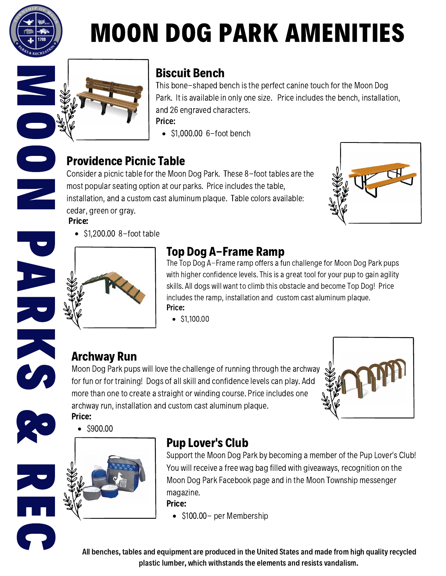

O

N

# MOON DOG PARK AMENITIES



#### Biscuit Bench

Price: This bone-shaped bench is the perfect canine touch for the Moon Dog Park. It is available in only one size. Price includes the bench, installation, and 26 engraved characters.

 $\bullet$  \$1,000.00 6-foot bench

#### Providence Picnic Table

Consider a picnic table for the Moon Dog Park. These 8-foot tables are the most popular seating option at our parks. Price includes the table, installation, and a custom cast aluminum plaque. Table colors available: cedar, green or gray. Price:



 $\bullet$  \$1,200.00 8-foot table



#### Top Dog A-Frame Ramp

Price: The Top Dog A-Frame ramp offers a fun challenge for Moon Dog Park pups with higher confidence levels. This is a great tool for your pup to gain agility skills. All dogs will want to climb this obstacle and become Top Dog! Price includes the ramp, installation and custom cast aluminum plaque.

 $\bullet$  \$1,100.00

### Archway Run

Moon Dog Park pups will love the challenge of running through the archway for fun or for training! Dogs of all skill and confidence levels can play. Add more than one to create a straight or winding course. Price includes one archway run, installation and custom cast aluminum plaque. Price:





C

**CA** 

R E

 $\bullet$  \$900.00

#### Pup Lover's Club

Support the Moon Dog Park by becoming a member of the Pup Lover's Club! You will receive a free wag bag filled with giveaways, recognition on the Moon Dog Park Facebook page and in the Moon Township messenger magazine.

Price:

 $\bullet$  \$100.00 – per Membership

All benches, tables and equipment are produced in the United States and made from high quality recycled plastic lumber, which withstands the elements and resists vandalism.